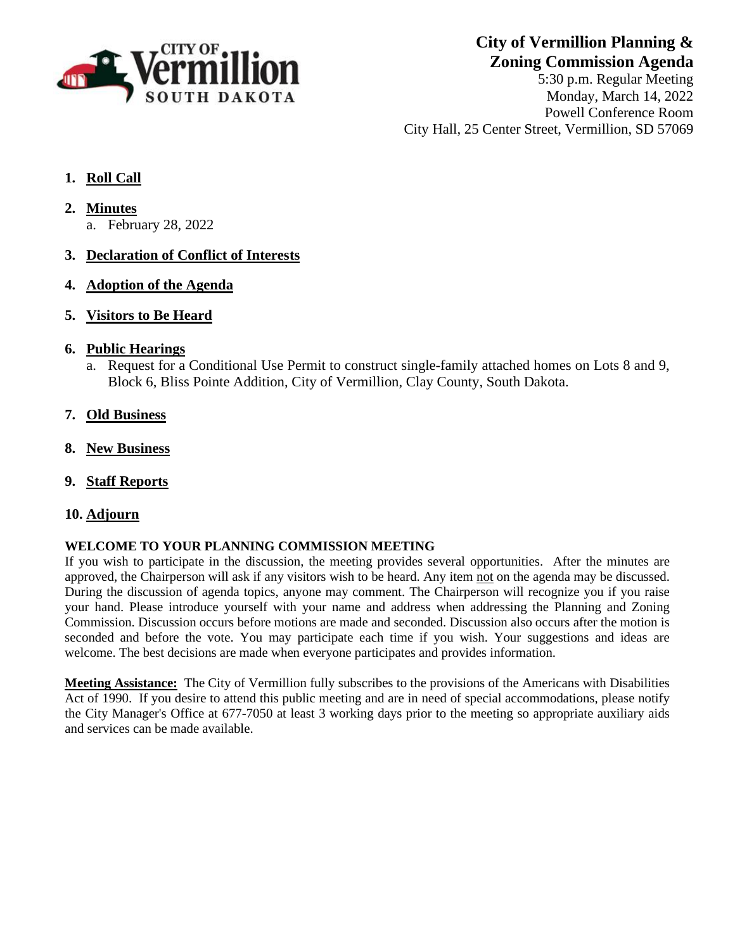

**City of Vermillion Planning & Zoning Commission Agenda**

5:30 p.m. Regular Meeting Monday, March 14, 2022 Powell Conference Room City Hall, 25 Center Street, Vermillion, SD 57069

#### **1. Roll Call**

- **2. Minutes**
	- a. February 28, 2022
- **3. Declaration of Conflict of Interests**
- **4. Adoption of the Agenda**
- **5. Visitors to Be Heard**
- **6. Public Hearings**
	- a. Request for a Conditional Use Permit to construct single-family attached homes on Lots 8 and 9, Block 6, Bliss Pointe Addition, City of Vermillion, Clay County, South Dakota.
- **7. Old Business**
- **8. New Business**
- **9. Staff Reports**
- **10. Adjourn**

#### **WELCOME TO YOUR PLANNING COMMISSION MEETING**

If you wish to participate in the discussion, the meeting provides several opportunities. After the minutes are approved, the Chairperson will ask if any visitors wish to be heard. Any item not on the agenda may be discussed. During the discussion of agenda topics, anyone may comment. The Chairperson will recognize you if you raise your hand. Please introduce yourself with your name and address when addressing the Planning and Zoning Commission. Discussion occurs before motions are made and seconded. Discussion also occurs after the motion is seconded and before the vote. You may participate each time if you wish. Your suggestions and ideas are welcome. The best decisions are made when everyone participates and provides information.

**Meeting Assistance:** The City of Vermillion fully subscribes to the provisions of the Americans with Disabilities Act of 1990. If you desire to attend this public meeting and are in need of special accommodations, please notify the City Manager's Office at 677-7050 at least 3 working days prior to the meeting so appropriate auxiliary aids and services can be made available.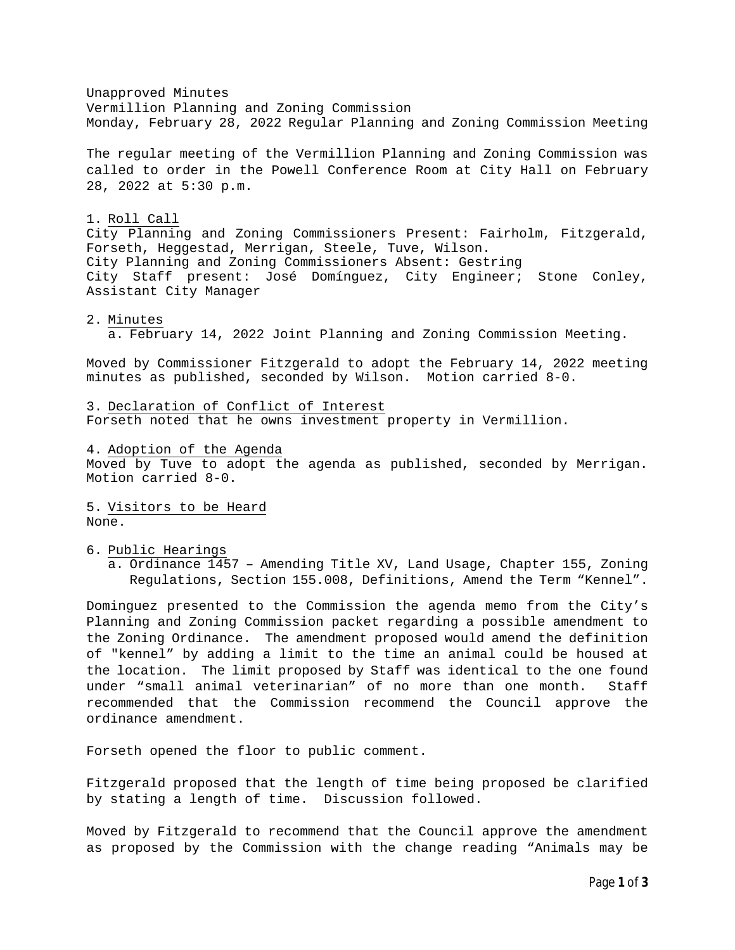Unapproved Minutes Vermillion Planning and Zoning Commission Monday, February 28, 2022 Regular Planning and Zoning Commission Meeting The regular meeting of the Vermillion Planning and Zoning Commission was called to order in the Powell Conference Room at City Hall on February 28, 2022 at 5:30 p.m. 1. Roll Call City Planning and Zoning Commissioners Present: Fairholm, Fitzgerald, Forseth, Heggestad, Merrigan, Steele, Tuve, Wilson. City Planning and Zoning Commissioners Absent: Gestring City Staff present: José Domínguez, City Engineer; Stone Conley, Assistant City Manager 2. Minutes a. February 14, 2022 Joint Planning and Zoning Commission Meeting. Moved by Commissioner Fitzgerald to adopt the February 14, 2022 meeting minutes as published, seconded by Wilson. Motion carried 8-0. 3. Declaration of Conflict of Interest Forseth noted that he owns investment property in Vermillion. 4. Adoption of the Agenda Moved by Tuve to adopt the agenda as published, seconded by Merrigan. Motion carried 8-0. 5. Visitors to be Heard None. 6. Public Hearings a. Ordinance 1457 – Amending Title XV, Land Usage, Chapter 155, Zoning Regulations, Section 155.008, Definitions, Amend the Term "Kennel". Dominguez presented to the Commission the agenda memo from the City's Planning and Zoning Commission packet regarding a possible amendment to the Zoning Ordinance. The amendment proposed would amend the definition of "kennel" by adding a limit to the time an animal could be housed at the location. The limit proposed by Staff was identical to the one found under "small animal veterinarian" of no more than one month. Staff recommended that the Commission recommend the Council approve the ordinance amendment.

Forseth opened the floor to public comment.

Fitzgerald proposed that the length of time being proposed be clarified by stating a length of time. Discussion followed.

Moved by Fitzgerald to recommend that the Council approve the amendment as proposed by the Commission with the change reading "Animals may be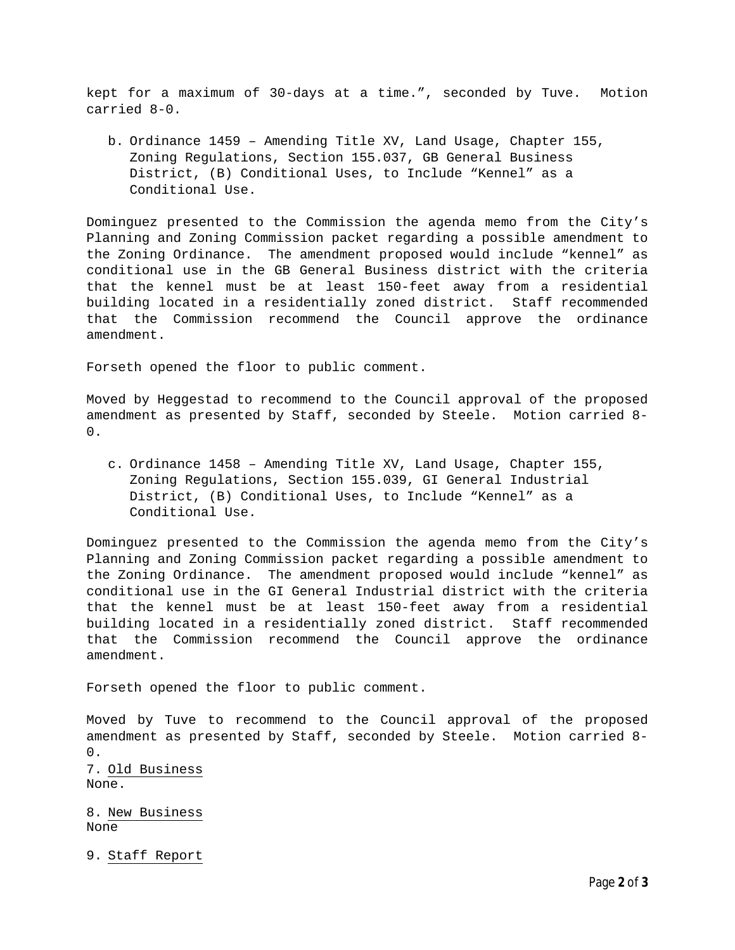kept for a maximum of 30-days at a time.", seconded by Tuve. Motion carried 8-0.

b. Ordinance 1459 – Amending Title XV, Land Usage, Chapter 155, Zoning Regulations, Section 155.037, GB General Business District, (B) Conditional Uses, to Include "Kennel" as a Conditional Use.

Dominguez presented to the Commission the agenda memo from the City's Planning and Zoning Commission packet regarding a possible amendment to the Zoning Ordinance. The amendment proposed would include "kennel" as conditional use in the GB General Business district with the criteria that the kennel must be at least 150-feet away from a residential building located in a residentially zoned district. Staff recommended that the Commission recommend the Council approve the ordinance amendment.

Forseth opened the floor to public comment.

Moved by Heggestad to recommend to the Council approval of the proposed amendment as presented by Staff, seconded by Steele. Motion carried 8- 0.

c. Ordinance 1458 – Amending Title XV, Land Usage, Chapter 155, Zoning Regulations, Section 155.039, GI General Industrial District, (B) Conditional Uses, to Include "Kennel" as a Conditional Use.

Dominguez presented to the Commission the agenda memo from the City's Planning and Zoning Commission packet regarding a possible amendment to the Zoning Ordinance. The amendment proposed would include "kennel" as conditional use in the GI General Industrial district with the criteria that the kennel must be at least 150-feet away from a residential building located in a residentially zoned district. Staff recommended that the Commission recommend the Council approve the ordinance amendment.

Forseth opened the floor to public comment.

Moved by Tuve to recommend to the Council approval of the proposed amendment as presented by Staff, seconded by Steele. Motion carried 8- 0. 7. Old Business None.

8. New Business None

9. Staff Report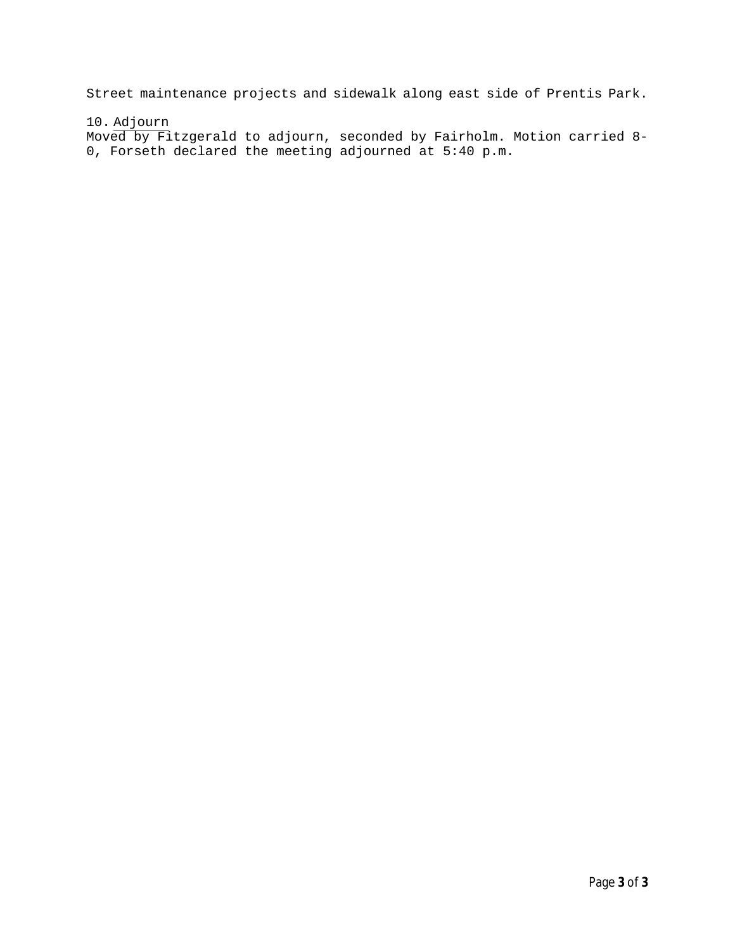Street maintenance projects and sidewalk along east side of Prentis Park.

10. Adjourn

Moved by Fitzgerald to adjourn, seconded by Fairholm. Motion carried 8- 0, Forseth declared the meeting adjourned at 5:40 p.m.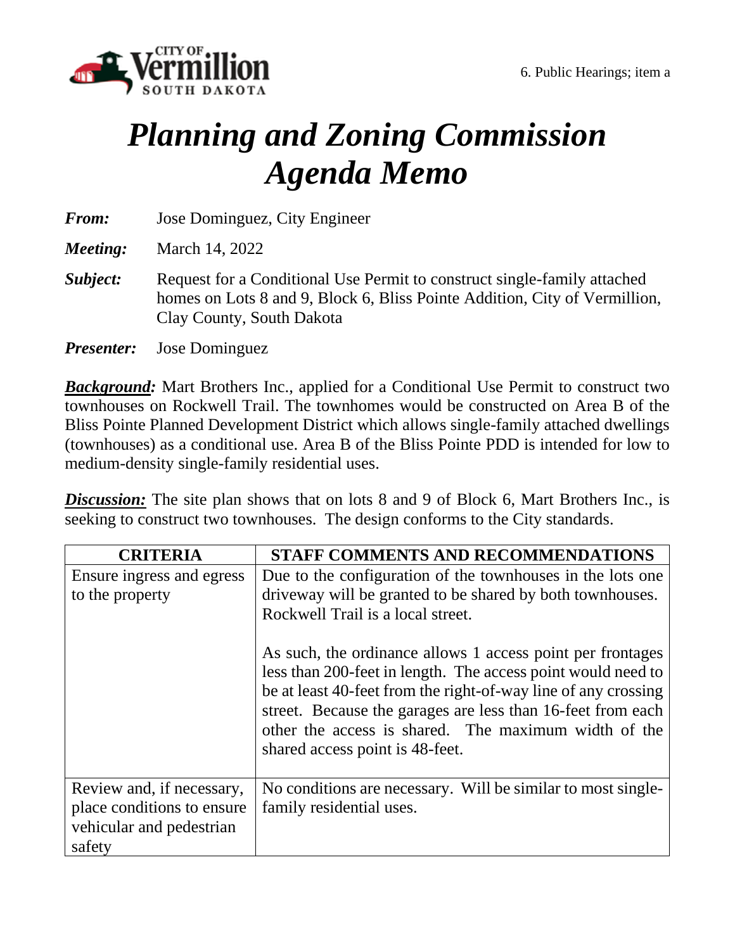

# *Planning and Zoning Commission Agenda Memo*

*From:* Jose Dominguez, City Engineer

*Meeting:* March 14, 2022

- **Subject:** Request for a Conditional Use Permit to construct single-family attached homes on Lots 8 and 9, Block 6, Bliss Pointe Addition, City of Vermillion, Clay County, South Dakota
- *Presenter:* Jose Dominguez

*Background:* Mart Brothers Inc., applied for a Conditional Use Permit to construct two townhouses on Rockwell Trail. The townhomes would be constructed on Area B of the Bliss Pointe Planned Development District which allows single-family attached dwellings (townhouses) as a conditional use. Area B of the Bliss Pointe PDD is intended for low to medium-density single-family residential uses.

**Discussion:** The site plan shows that on lots 8 and 9 of Block 6, Mart Brothers Inc., is seeking to construct two townhouses. The design conforms to the City standards.

| <b>CRITERIA</b>                                                                               | STAFF COMMENTS AND RECOMMENDATIONS                                                                                                                                                                                                                                                                                                                                                                                                                                                                                     |
|-----------------------------------------------------------------------------------------------|------------------------------------------------------------------------------------------------------------------------------------------------------------------------------------------------------------------------------------------------------------------------------------------------------------------------------------------------------------------------------------------------------------------------------------------------------------------------------------------------------------------------|
| Ensure ingress and egress<br>to the property                                                  | Due to the configuration of the townhouses in the lots one<br>driveway will be granted to be shared by both townhouses.<br>Rockwell Trail is a local street.<br>As such, the ordinance allows 1 access point per frontages<br>less than 200-feet in length. The access point would need to<br>be at least 40-feet from the right-of-way line of any crossing<br>street. Because the garages are less than 16-feet from each<br>other the access is shared. The maximum width of the<br>shared access point is 48-feet. |
| Review and, if necessary,<br>place conditions to ensure<br>vehicular and pedestrian<br>safety | No conditions are necessary. Will be similar to most single-<br>family residential uses.                                                                                                                                                                                                                                                                                                                                                                                                                               |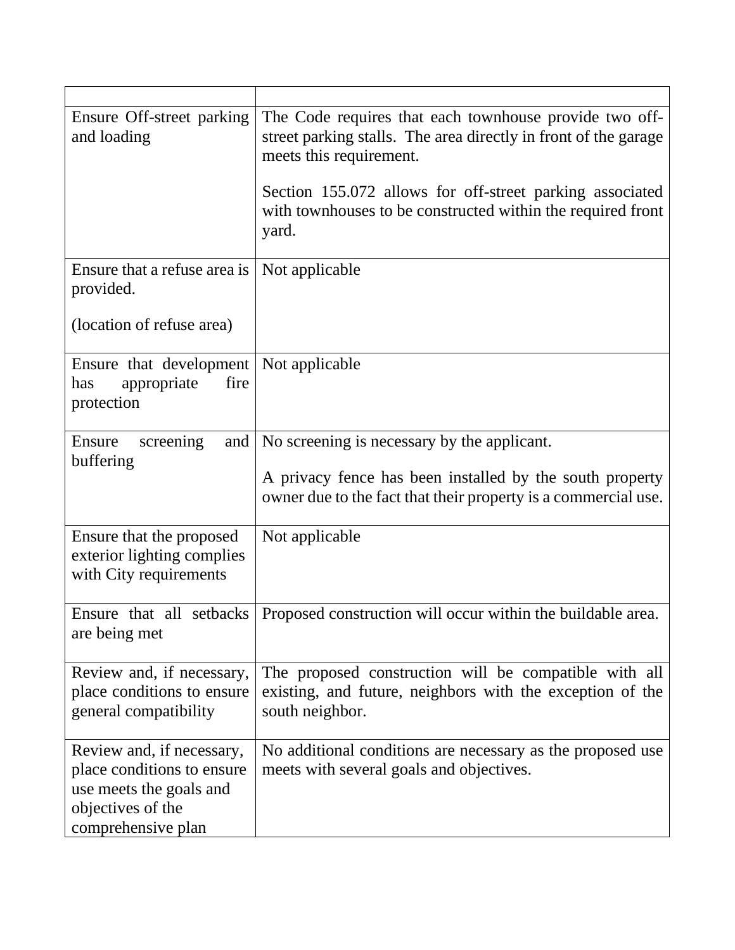| Ensure Off-street parking<br>and loading                                                                                      | The Code requires that each townhouse provide two off-<br>street parking stalls. The area directly in front of the garage<br>meets this requirement.<br>Section 155.072 allows for off-street parking associated<br>with townhouses to be constructed within the required front<br>yard. |
|-------------------------------------------------------------------------------------------------------------------------------|------------------------------------------------------------------------------------------------------------------------------------------------------------------------------------------------------------------------------------------------------------------------------------------|
| Ensure that a refuse area is<br>provided.                                                                                     | Not applicable                                                                                                                                                                                                                                                                           |
| (location of refuse area)                                                                                                     |                                                                                                                                                                                                                                                                                          |
| Ensure that development   Not applicable<br>appropriate<br>fire<br>has<br>protection                                          |                                                                                                                                                                                                                                                                                          |
| and<br>Ensure<br>screening<br>buffering                                                                                       | No screening is necessary by the applicant.<br>A privacy fence has been installed by the south property<br>owner due to the fact that their property is a commercial use.                                                                                                                |
| Ensure that the proposed<br>exterior lighting complies<br>with City requirements                                              | Not applicable                                                                                                                                                                                                                                                                           |
| are being met                                                                                                                 | Ensure that all setbacks   Proposed construction will occur within the buildable area.                                                                                                                                                                                                   |
| Review and, if necessary,<br>place conditions to ensure<br>general compatibility                                              | The proposed construction will be compatible with all<br>existing, and future, neighbors with the exception of the<br>south neighbor.                                                                                                                                                    |
| Review and, if necessary,<br>place conditions to ensure<br>use meets the goals and<br>objectives of the<br>comprehensive plan | No additional conditions are necessary as the proposed use<br>meets with several goals and objectives.                                                                                                                                                                                   |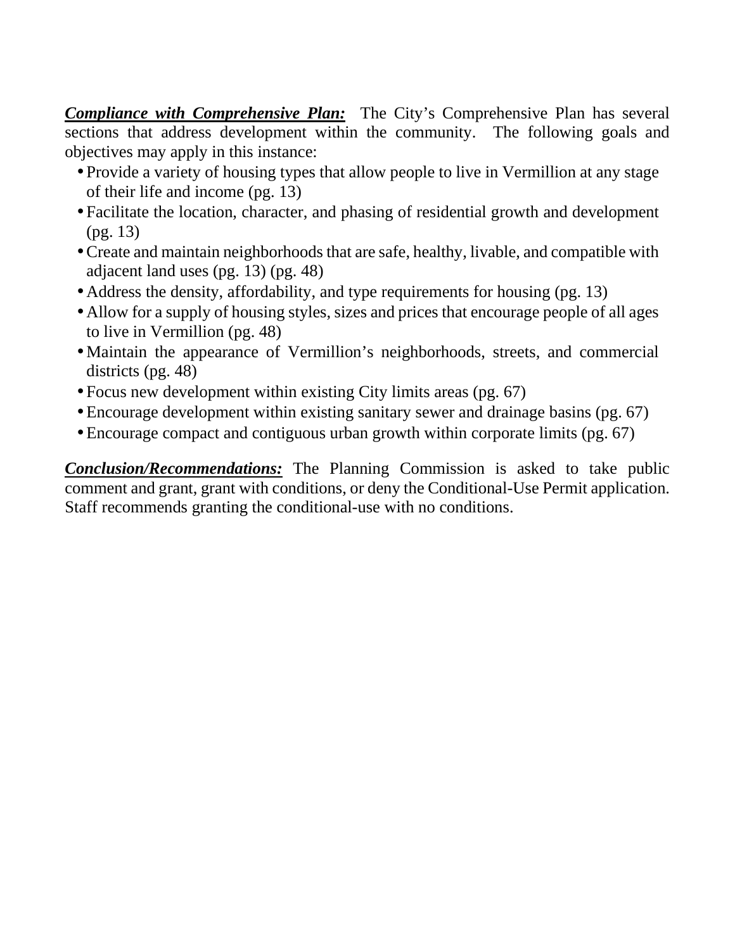*Compliance with Comprehensive Plan:* The City's Comprehensive Plan has several sections that address development within the community. The following goals and objectives may apply in this instance:

- Provide a variety of housing types that allow people to live in Vermillion at any stage of their life and income (pg. 13)
- Facilitate the location, character, and phasing of residential growth and development (pg. 13)
- Create and maintain neighborhoods that are safe, healthy, livable, and compatible with adjacent land uses (pg. 13) (pg. 48)
- Address the density, affordability, and type requirements for housing (pg. 13)
- Allow for a supply of housing styles, sizes and prices that encourage people of all ages to live in Vermillion (pg. 48)
- Maintain the appearance of Vermillion's neighborhoods, streets, and commercial districts (pg. 48)
- Focus new development within existing City limits areas (pg. 67)
- Encourage development within existing sanitary sewer and drainage basins (pg. 67)
- Encourage compact and contiguous urban growth within corporate limits (pg. 67)

*Conclusion/Recommendations:* The Planning Commission is asked to take public comment and grant, grant with conditions, or deny the Conditional-Use Permit application. Staff recommends granting the conditional-use with no conditions.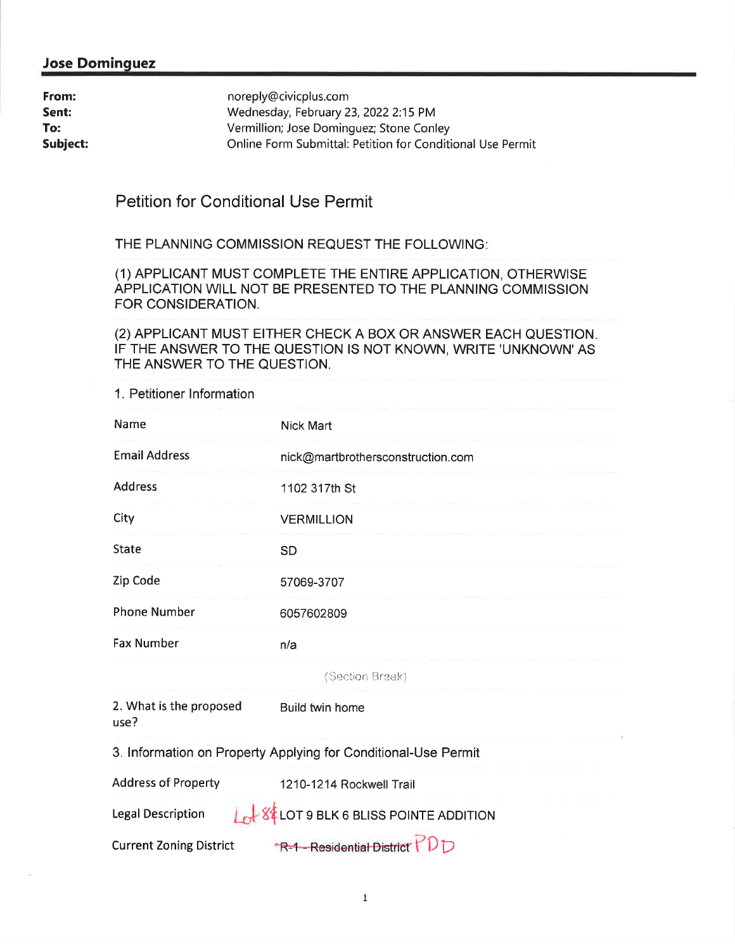#### **Jose Dominguez**

| From:    | noreply@civicplus.com                                      |
|----------|------------------------------------------------------------|
| Sent:    | Wednesday, February 23, 2022 2:15 PM                       |
| To:      | Vermillion; Jose Dominguez; Stone Conley                   |
| Subject: | Online Form Submittal: Petition for Conditional Use Permit |

### **Petition for Conditional Use Permit**

THE PLANNING COMMISSION REQUEST THE FOLLOWING:

(1) APPLICANT MUST COMPLETE THE ENTIRE APPLICATION, OTHERWISE APPLICATION WILL NOT BE PRESENTED TO THE PLANNING COMMISSION FOR CONSIDERATION.

(2) APPLICANT MUST EITHER CHECK A BOX OR ANSWER EACH QUESTION. IF THE ANSWER TO THE QUESTION IS NOT KNOWN, WRITE 'UNKNOWN' AS THE ANSWER TO THE QUESTION.

1. Petitioner Information

| Name                                                           | Nick Mart                                                 |
|----------------------------------------------------------------|-----------------------------------------------------------|
| <b>Email Address</b>                                           | nick@martbrothersconstruction.com                         |
| <b>Address</b>                                                 | 1102 317th St                                             |
| City                                                           | <b>VERMILLION</b>                                         |
| <b>State</b>                                                   | <b>SD</b>                                                 |
| Zip Code                                                       | 57069-3707                                                |
| <b>Phone Number</b>                                            | 6057602809                                                |
| <b>Fax Number</b>                                              | n/a                                                       |
|                                                                | (Section Break)                                           |
| 2. What is the proposed<br>use?                                | Build twin home                                           |
| 3. Information on Property Applying for Conditional-Use Permit |                                                           |
| <b>Address of Property</b>                                     | 1210-1214 Rockwell Trail                                  |
| <b>Legal Description</b>                                       | <b>Lot</b> 84 LOT 9 BLK 6 BLISS POINTE ADDITION<br>$\Box$ |

**Current Zoning District** 

 $R-1$ -Residential District  $\nabla D$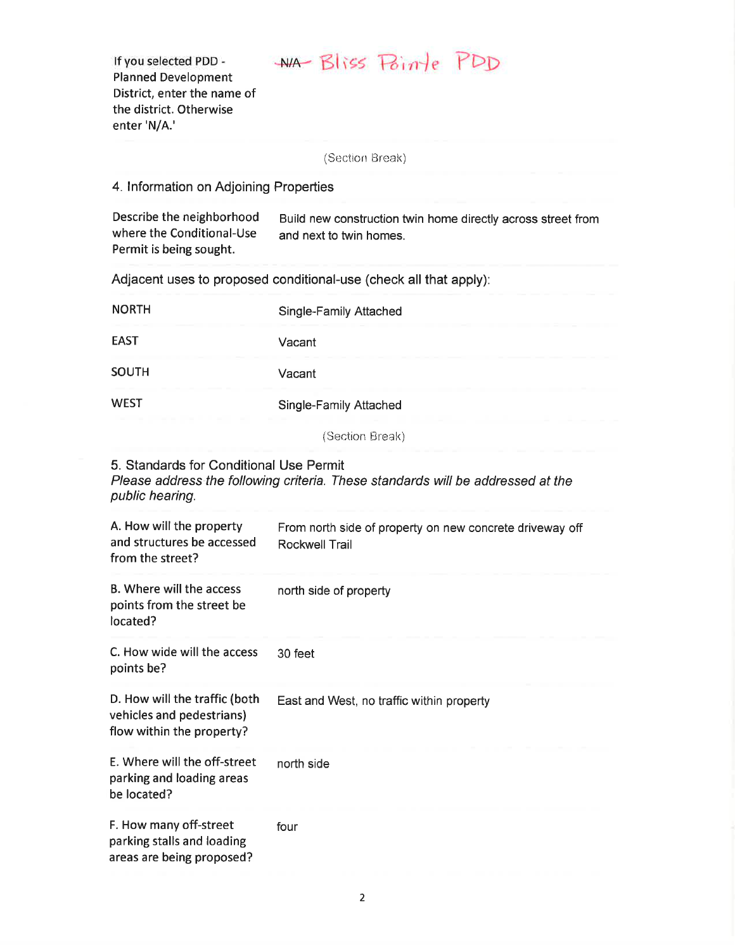## WA Bliss Pointe PDD

If you selected PDD -**Planned Development** District, enter the name of the district. Otherwise enter 'N/A.'

(Section Break)

4. Information on Adjoining Properties

| Describe the neighborhood<br>where the Conditional-Use<br>Permit is being sought. | Build new construction twin home directly across street from<br>and next to twin homes. |
|-----------------------------------------------------------------------------------|-----------------------------------------------------------------------------------------|
| Adjacent uses to proposed conditional-use (check all that apply):                 |                                                                                         |
| <b>NORTH</b>                                                                      | Single-Family Attached                                                                  |
| <b>EAST</b>                                                                       | Vacant                                                                                  |
| <b>SOUTH</b>                                                                      | Vacant                                                                                  |

**WEST** Single-Family Attached

(Section Break)

5. Standards for Conditional Use Permit

Please address the following criteria. These standards will be addressed at the public hearing.

| A. How will the property<br>and structures be accessed<br>from the street?              | From north side of property on new concrete driveway off<br>Rockwell Trail |
|-----------------------------------------------------------------------------------------|----------------------------------------------------------------------------|
| B. Where will the access<br>points from the street be<br>located?                       | north side of property                                                     |
| C. How wide will the access<br>points be?                                               | 30 feet                                                                    |
| D. How will the traffic (both<br>vehicles and pedestrians)<br>flow within the property? | East and West, no traffic within property                                  |
| E. Where will the off-street<br>parking and loading areas<br>be located?                | north side                                                                 |
| F. How many off-street<br>parking stalls and loading<br>areas are being proposed?       | four                                                                       |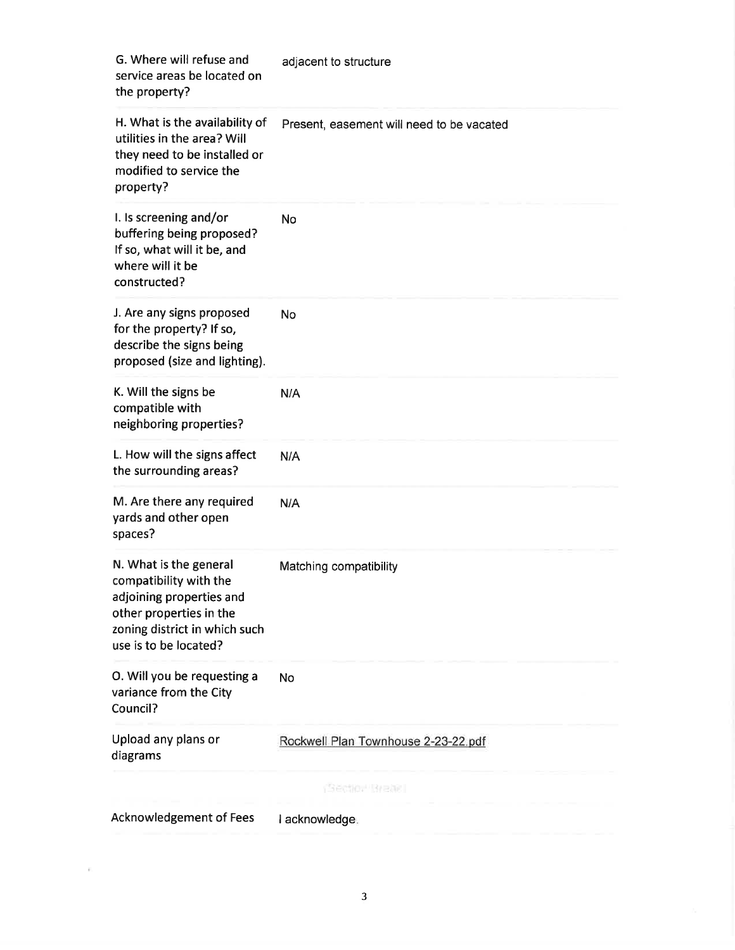| G. Where will refuse and<br>service areas be located on<br>the property?                                                                                          | adjacent to structure                     |
|-------------------------------------------------------------------------------------------------------------------------------------------------------------------|-------------------------------------------|
| H. What is the availability of<br>utilities in the area? Will<br>they need to be installed or<br>modified to service the<br>property?                             | Present, easement will need to be vacated |
| I. Is screening and/or<br>buffering being proposed?<br>If so, what will it be, and<br>where will it be<br>constructed?                                            | No                                        |
| J. Are any signs proposed<br>for the property? If so,<br>describe the signs being<br>proposed (size and lighting).                                                | <b>No</b>                                 |
| K. Will the signs be<br>compatible with<br>neighboring properties?                                                                                                | N/A                                       |
| L. How will the signs affect<br>the surrounding areas?                                                                                                            | N/A                                       |
| M. Are there any required<br>yards and other open<br>spaces?                                                                                                      | N/A                                       |
| N. What is the general<br>compatibility with the<br>adjoining properties and<br>other properties in the<br>zoning district in which such<br>use is to be located? | Matching compatibility                    |
| O. Will you be requesting a<br>variance from the City<br>Council?                                                                                                 | <b>No</b>                                 |
| Upload any plans or<br>diagrams                                                                                                                                   | Rockwell Plan Townhouse 2-23-22.pdf       |
|                                                                                                                                                                   | (Section Break)                           |
| <b>Acknowledgement of Fees</b>                                                                                                                                    | I acknowledge.                            |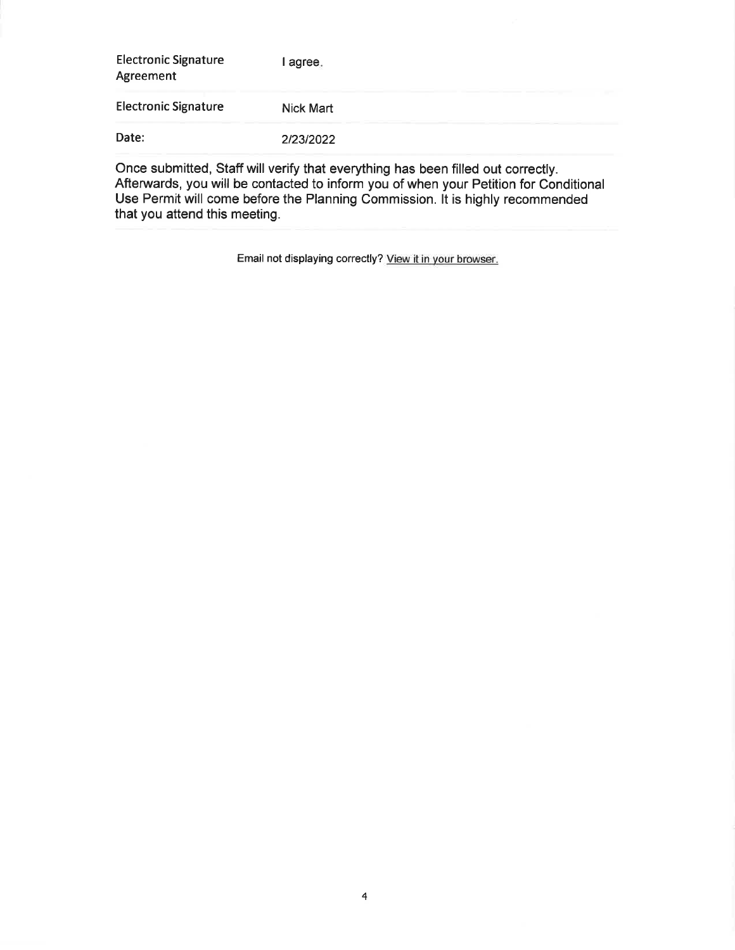| <b>Electronic Signature</b><br>Agreement | agree.    |
|------------------------------------------|-----------|
| <b>Electronic Signature</b>              | Nick Mart |
| Date:                                    | 2/23/2022 |

Once submitted, Staff will verify that everything has been filled out correctly. Afterwards, you will be contacted to inform you of when your Petition for Conditional Use Permit will come before the Planning Commission. It is highly recommended that you attend this meeting.

Email not displaying correctly? View it in your browser.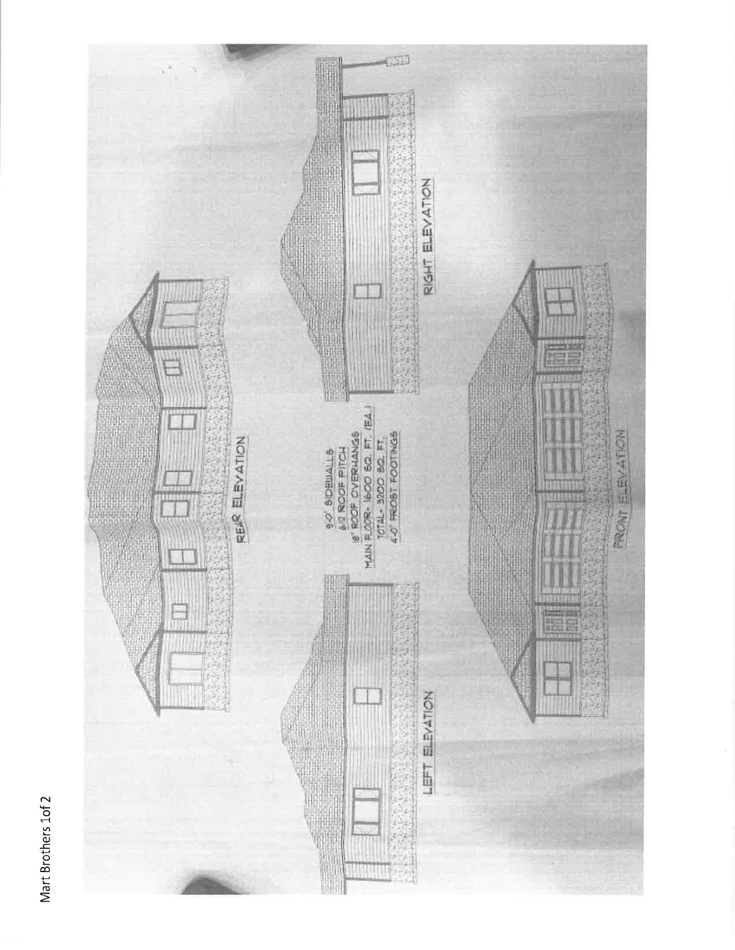

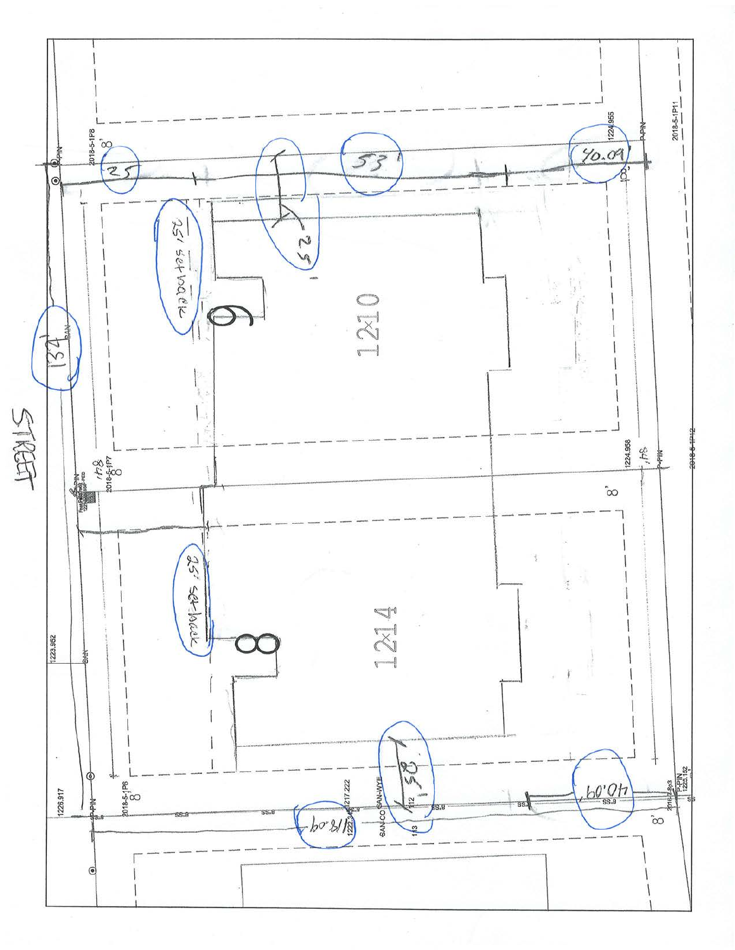